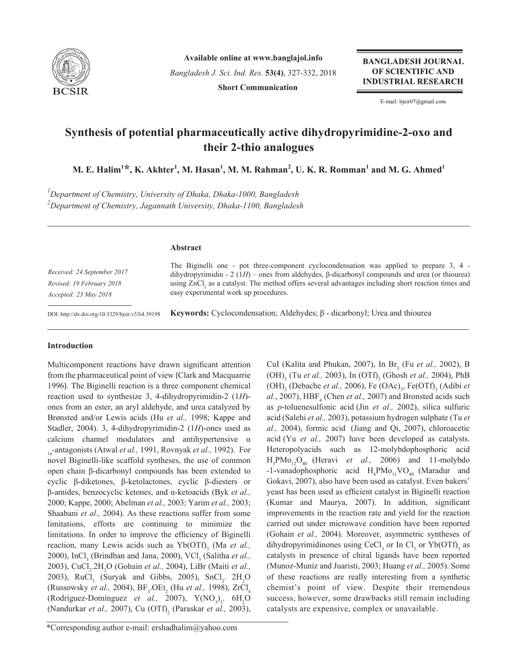

**Available online at www.banglajol.info** *Bangladesh J. Sci. Ind. Res.* **53(4)**, 327-332, 2018 **Short Communication**

**BANGLADESH JOURNAL** OF SCIENTIFIC AND **INDUSTRIAL RESEARCH** 

E-mail: bjsir07@gmail.com

# **Synthesis of potential pharmaceutically active dihydropyrimidine-2-oxo and their 2-thio analogues**

 $\mathbf{M}.$  **E.** Halim $^{1\star}$ , K. Akhter $^{1}$ , M. Hasan $^{1}$ , M. M. Rahman $^{2}$ , U. K. R. Romman $^{1}$  and M. G. Ahmed $^{1}$ 

*1 Department of Chemistry, University of Dhaka, Dhaka-1000, Bangladesh 2 Department of Chemistry, Jagannath University, Dhaka-1100, Bangladesh*

# **Abstract**

*Received: 24 September 2017 Revised: 19 February 2018 Accepted: 23 May 2018*

The Biginelli one - pot three-component cyclocondensation was applied to prepare 3, 4 dihydropyrimidin - 2 (1*H*) – ones from aldehydes, β-dicarbonyl compounds and urea (or thiourea) using  $ZnCl<sub>2</sub>$  as a catalyst. The method offers several advantages including short reaction times and easy experimental work up procedures.

DOI: http://dx.doi.org/10.3329/bjsir.v53i4.39198

**Keywords:** Cyclocondensation; Aldehydes; β - dicarbonyl; Urea and thiourea

# **Introduction**

Multicomponent reactions have drawn significant attention from the pharmaceutical point of view (Clark and Macquarrie 1996). The Biginelli reaction is a three component chemical reaction used to synthesize 3, 4-dihydropyrimidin-2 (1*H*) ones from an ester, an aryl aldehyde, and urea catalyzed by Brønsted and/or Lewis acids (Hu *et al.,* 1998; Kappe and Stadler, 2004). 3, 4-dihydropyrimidin-2 (1*H*)-ones used as calcium channel modulators and antihypertensive  $\alpha$ 1a-antagonists (Atwal *et al.,* 1991, Rovnyak *et al.,* 1992). For novel Biginelli-like scaffold syntheses, the use of common open chain β-dicarbonyl compounds has been extended to cyclic β-diketones, β-ketolactones, cyclic β-diesters or β-amides, benzocyclic ketones, and α-ketoacids (Byk *et al.,* 2000; Kappe, 2000; Abelman *et al.,* 2003; Yarim *et al.,* 2003; Shaabani *et al.,* 2004). As these reactions suffer from some limitations, efforts are continuing to minimize the limitations. In order to improve the efficiency of Biginelli reaction, many Lewis acids such as Yb(OTf)<sub>3</sub> (Ma *et al.*, 2000), InCl<sub>3</sub> (Brindban and Jana, 2000), VCl<sub>3</sub> (Salitha *et al.*, 2003), CuCl<sub>2</sub>.2H<sub>2</sub>O (Gohain *et al.*, 2004), LiBr (Maiti *et al.*, 2003),  $RuCl<sub>3</sub>$  (Suryak and Gibbs, 2005),  $SnCl<sub>2</sub>$ .  $2H<sub>2</sub>O$ (Russowsky *et al.*, 2004),  $BF_3$ .OEt<sub>2</sub> (Hu *et al.*, 1998), ZrCl<sub>4</sub> (Rodríguez-Domínguez *et al.*, 2007),  $Y(NO_3)_3$ .  $6H_2O$ (Nandurkar *et al.*, 2007), Cu (OTf)<sub>2</sub> (Paraskar *et al.*, 2003),

CuI (Kalita and Phukan, 2007), In Br<sub>3</sub> (Fu *et al.*, 2002), B (OH)<sub>3</sub> (Tu *et al.*, 2003), In (OTf)<sub>3</sub> (Ghosh *et al.*, 2004), PhB (OH)<sub>2</sub> (Debache *et al.*, 2006), Fe (OAc)<sub>3</sub>, Fe(OTf)<sub>3</sub> (Adibi *et*  $al., 2007$ ),  $HBF<sub>4</sub>$  (Chen *et al.*, 2007) and Bronsted acids such as *p*-toluenesulfonic acid (Jin *et al.,* 2002), silica sulfuric acid (Salehi *et al.,* 2003), potassium hydrogen sulphate (Tu *et al.,* 2004), formic acid (Jiang and Qi, 2007), chloroacetic acid (Yu *et al.,* 2007) have been developed as catalysts. Heteropolyacids such as 12-molybdophosphoric acid  $H_3$ PMo<sub>12</sub>O<sub>40</sub> (Heravi *et al.*, 2006) and 11-molybdo -1-vanadophosphoric acid  $H_4$ PMo<sub>11</sub>VO<sub>40</sub> (Maradur and Gokavi, 2007), also have been used as catalyst. Even bakers' yeast has been used as efficient catalyst in Biginelli reaction (Kumar and Maurya, 2007). In addition, significant improvements in the reaction rate and yield for the reaction carried out under microwave condition have been reported (Gohain *et al.,* 2004). Moreover, asymmetric syntheses of dihydropyrimidinones using  $CeCl<sub>3</sub>$  or In  $Cl<sub>3</sub>$  or Yb(OTf)<sub>3</sub> as catalysts in presence of chiral ligands have been reported (Munoz-Muniz and Juaristi, 2003; Huang *et al.,* 2005). Some of these reactions are really interesting from a synthetic chemist's point of view. Despite their tremendous success, however, some drawbacks still remain including catalysts are expensive, complex or unavailable.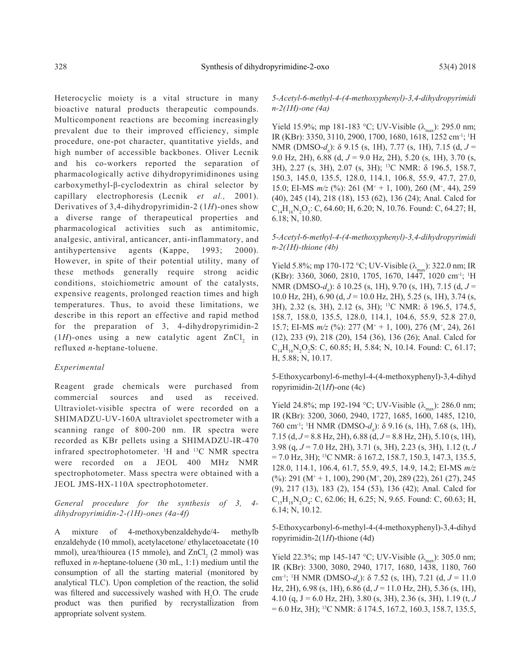Heterocyclic moiety is a vital structure in many bioactive natural products therapeutic compounds. Multicomponent reactions are becoming increasingly prevalent due to their improved efficiency, simple procedure, one-pot character, quantitative yields, and high number of accessible backbones. Oliver Lecnik and his co-workers reported the separation of pharmacologically active dihydropyrimidinones using carboxymethyl-β-cyclodextrin as chiral selector by capillary electrophoresis (Lecnik *et al.,* 2001). Derivatives of 3,4-dihydropyrimidin-2 (1*H*)-ones show a diverse range of therapeutical properties and pharmacological activities such as antimitomic, analgesic, antiviral, anticancer, anti-inflammatory, and antihypertensive agents (Kappe, 1993; 2000). However, in spite of their potential utility, many of these methods generally require strong acidic conditions, stoichiometric amount of the catalysts, expensive reagents, prolonged reaction times and high temperatures. Thus, to avoid these limitations, we describe in this report an effective and rapid method for the preparation of 3, 4-dihydropyrimidin-2  $(1H)$ -ones using a new catalytic agent  $ZnCl_2$  in refluxed *n*-heptane-toluene.

### *Experimental*

Reagent grade chemicals were purchased from commercial sources and used as received. Ultraviolet-visible spectra of were recorded on a SHIMADZU-UV-160A ultraviolet spectrometer with a scanning range of 800-200 nm. IR spectra were recorded as KBr pellets using a SHIMADZU-IR-470 infrared spectrophotometer. <sup>1</sup>H and <sup>13</sup>C NMR spectra were recorded on a JEOL 400 MHz NMR spectrophotometer. Mass spectra were obtained with a JEOL JMS-HX-110A spectrophotometer.

## *General procedure for the synthesis of 3, 4 dihydropyrimidin-2-(1H)-ones (4a-4f)*

A mixture of 4-methoxybenzaldehyde/4- methylb enzaldehyde (10 mmol), acetylacetone/ ethylacetoacetate (10 mmol), urea/thiourea (15 mmole), and  $ZnCl<sub>2</sub>$  (2 mmol) was refluxed in *n*-heptane-toluene (30 mL, 1:1) medium until the consumption of all the starting material (monitored by analytical TLC). Upon completion of the reaction, the solid was filtered and successively washed with  $H_2O$ . The crude product was then purified by recrystallization from appropriate solvent system.

*5-Acetyl-6-methyl-4-(4-methoxyphenyl)-3,4-dihydropyrimidi n-2(1H)-one (4a)*

Yield 15.9%; mp 181-183 °C; UV-Visible  $(\lambda_{\text{max}})$ : 295.0 nm; IR (KBr): 3350, 3110, 2900, 1700, 1680, 1618, 1252 cm-1; 1 H NMR (DMSO-*d<sub>6</sub>*): δ 9.15 (s, 1H), 7.77 (s, 1H), 7.15 (d, *J* = 9.0 Hz, 2H), 6.88 (d, *J* = 9.0 Hz, 2H), 5.20 (s, 1H), 3.70 (s, 3H), 2.27 (s, 3H), 2.07 (s, 3H); 13C NMR: δ 196.5, 158.7, 150.3, 145.0, 135.5, 128.0, 114.1, 106.8, 55.9, 47.7, 27.0, 15.0; EI-MS  $m/z$  (%): 261 (M<sup>+</sup> + 1, 100), 260 (M<sup>+</sup>, 44), 259 (40), 245 (14), 218 (18), 153 (62), 136 (24); Anal. Calcd for  $C_{14}H_{16}N_2O_3$ : C, 64.60; H, 6.20; N, 10.76. Found: C, 64.27; H, 6.18; N, 10.80.

### *5-Acetyl-6-methyl-4-(4-methoxyphenyl)-3,4-dihydropyrimidi n-2(1H)-thione (4b)*

Yield 5.8%; mp 170-172 °C; UV-Visible  $(\lambda_{\text{max}})$ : 322.0 nm; IR (KBr): 3360, 3060, 2810, 1705, 1670, 1447, 1020 cm<sup>-1</sup>; <sup>1</sup>H NMR (DMSO-*d<sub>6</sub>*): δ 10.25 (s, 1H), 9.70 (s, 1H), 7.15 (d, *J* = 10.0 Hz, 2H), 6.90 (d, *J* = 10.0 Hz, 2H), 5.25 (s, 1H), 3.74 (s, 3H), 2.32 (s, 3H), 2.12 (s, 3H); 13C NMR: δ 196.5, 174.5, 158.7, 158.0, 135.5, 128.0, 114.1, 104.6, 55.9, 52.8 27.0, 15.7; EI-MS  $m/z$  (%): 277 (M<sup>+</sup> + 1, 100), 276 (M<sup>+</sup>, 24), 261 (12), 233 (9), 218 (20), 154 (36), 136 (26); Anal. Calcd for  $C_{14}H_{16}N_2O_2S$ : C, 60.85; H, 5.84; N, 10.14. Found: C, 61.17; H, 5.88; N, 10.17.

5-Ethoxycarbonyl-6-methyl-4-(4-methoxyphenyl)-3,4-dihyd ropyrimidin-2 $(1H)$ -one  $(4c)$ 

Yield 24.8%; mp 192-194 °C; UV-Visible  $(\lambda_{\text{max}})$ : 286.0 nm; IR (KBr): 3200, 3060, 2940, 1727, 1685, 1600, 1485, 1210, 760 cm<sup>-1</sup>; <sup>1</sup>H NMR (DMSO-*d<sub>6</sub>*): δ 9.16 (s, 1H), 7.68 (s, 1H), 7.15 (d, *J* = 8.8 Hz, 2H), 6.88 (d, *J* = 8.8 Hz, 2H), 5.10 (s, 1H), 3.98 (q, *J* = 7.0 Hz, 2H), 3.71 (s, 3H), 2.23 (s, 3H), 1.12 (t, *J*  $= 7.0$  Hz, 3H); <sup>13</sup>C NMR:  $\delta$  167.2, 158.7, 150.3, 147.3, 135.5, 128.0, 114.1, 106.4, 61.7, 55.9, 49.5, 14.9, 14.2; EI-MS *m/z* (%): 291 (M<sup>+</sup> + 1, 100), 290 (M<sup>+</sup>, 20), 289 (22), 261 (27), 245 (9), 217 (13), 183 (2), 154 (53), 136 (42); Anal. Calcd for  $C_{15}H_{18}N_2O_4$ : C, 62.06; H, 6.25; N, 9.65. Found: C, 60.63; H, 6.14; N, 10.12.

5-Ethoxycarbonyl-6-methyl-4-(4-methoxyphenyl)-3,4-dihyd ropyrimidin-2(1*H*)-thione (4d)

Yield 22.3%; mp 145-147 °C; UV-Visible  $(\lambda_{\text{max}})$ : 305.0 nm; IR (KBr): 3300, 3080, 2940, 1717, 1680, 1438, 1180, 760 cm<sup>-1</sup>; <sup>1</sup>H NMR (DMSO-*d<sub>6</sub>*): δ 7.52 (s, 1H), 7.21 (d, *J* = 11.0 Hz, 2H), 6.98 (s, 1H), 6.86 (d, *J* = 11.0 Hz, 2H), 5.36 (s, 1H), 4.10 (q, J = 6.0 Hz, 2H), 3.80 (s, 3H), 2.36 (s, 3H), 1.19 (t, *J*  $= 6.0$  Hz, 3H); <sup>13</sup>C NMR:  $\delta$  174.5, 167.2, 160.3, 158.7, 135.5,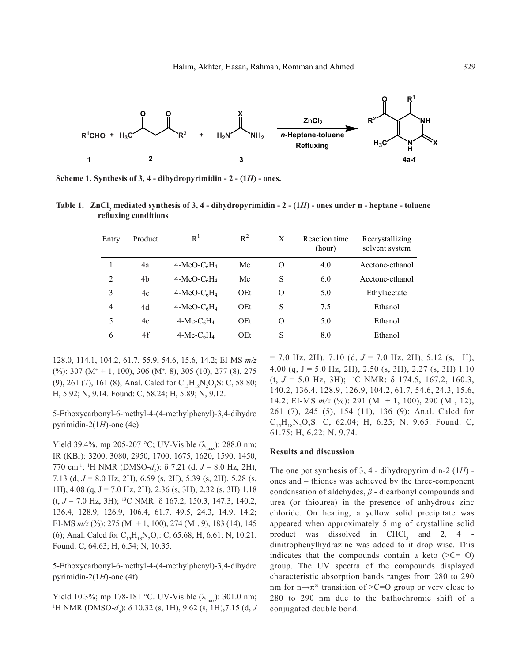

**Scheme 1. Synthesis of 3, 4 - dihydropyrimidin - 2 - (1***H***) - ones.**

| Table 1. ZnCl, mediated synthesis of 3, 4 - dihydropyrimidin $-2 - (1H)$ - ones under n - heptane - toluene |  |  |
|-------------------------------------------------------------------------------------------------------------|--|--|
| refluxing conditions                                                                                        |  |  |

| Entry          | Product | R <sup>1</sup>                        | $R^2$ | X        | Reaction time<br>(hour) | Recrystallizing<br>solvent system |
|----------------|---------|---------------------------------------|-------|----------|-------------------------|-----------------------------------|
|                | 4a      | $4-MeO-C6H4$                          | Me    | O        | 4.0                     | Acetone-ethanol                   |
| $\overline{2}$ | 4b      | $4-MeO-C6H4$                          | Me    | S        | 6.0                     | Acetone-ethanol                   |
| 3              | 4c      | $4-MeO-C6H4$                          | OEt   | $\Omega$ | 5.0                     | Ethylacetate                      |
| 4              | 4d      | $4-MeO-C6H4$                          | OEt   | S        | 7.5                     | Ethanol                           |
| 5              | 4e      | $4-Me-C6H4$                           | OEt   | $\Omega$ | 5.0                     | Ethanol                           |
| 6              | 4f      | $4$ -Me-C <sub>6</sub> H <sub>4</sub> | OEt   | S        | 8.0                     | Ethanol                           |

128.0, 114.1, 104.2, 61.7, 55.9, 54.6, 15.6, 14.2; EI-MS *m/z*  $(\%)$ : 307 (M<sup>+</sup> + 1, 100), 306 (M<sup>+</sup>, 8), 305 (10), 277 (8), 275 (9), 261 (7), 161 (8); Anal. Calcd for  $C_{15}H_{18}N_2O_3S$ : C, 58.80; H, 5.92; N, 9.14. Found: C, 58.24; H, 5.89; N, 9.12.

5-Ethoxycarbonyl-6-methyl-4-(4-methylphenyl)-3,4-dihydro pyrimidin-2(1*H*)-one (4e)

Yield 39.4%, mp 205-207 °C; UV-Visible ( $\lambda_{\text{max}}$ ): 288.0 nm; IR (KBr): 3200, 3080, 2950, 1700, 1675, 1620, 1590, 1450, 770 cm<sup>-1</sup>; <sup>1</sup>H NMR (DMSO- $d_6$ ): δ 7.21 (d,  $J = 8.0$  Hz, 2H), 7.13 (d, *J* = 8.0 Hz, 2H), 6.59 (s, 2H), 5.39 (s, 2H), 5.28 (s, 1H), 4.08 (q, J = 7.0 Hz, 2H), 2.36 (s, 3H), 2.32 (s, 3H) 1.18 (t, *J* = 7.0 Hz, 3H); 13C NMR: δ 167.2, 150.3, 147.3, 140.2, 136.4, 128.9, 126.9, 106.4, 61.7, 49.5, 24.3, 14.9, 14.2; EI-MS  $m/z$  (%): 275 (M<sup>+</sup> + 1, 100), 274 (M<sup>+</sup>, 9), 183 (14), 145 (6); Anal. Calcd for  $C_{15}H_{18}N_2O_3$ : C, 65.68; H, 6.61; N, 10.21. Found: C, 64.63; H, 6.54; N, 10.35.

5-Ethoxycarbonyl-6-methyl-4-(4-methylphenyl)-3,4-dihydro pyrimidin-2(1*H*)-one (4f)

Yield 10.3%; mp 178-181 °C. UV-Visible  $(\lambda_{\text{max}})$ : 301.0 nm; <sup>1</sup>H NMR (DMSO-*d<sub>6</sub>*): δ 10.32 (s, 1H), 9.62 (s, 1H),7.15 (d, *J*  = 7.0 Hz, 2H), 7.10 (d, *J* = 7.0 Hz, 2H), 5.12 (s, 1H), 4.00 (q,  $J = 5.0$  Hz, 2H), 2.50 (s, 3H), 2.27 (s, 3H) 1.10 (t, *J* = 5.0 Hz, 3H); 13C NMR: δ 174.5, 167.2, 160.3, 140.2, 136.4, 128.9, 126.9, 104.2, 61.7, 54.6, 24.3, 15.6, 14.2; EI-MS  $m/z$  (%): 291 (M<sup>+</sup> + 1, 100), 290 (M<sup>+</sup>, 12), 261 (7), 245 (5), 154 (11), 136 (9); Anal. Calcd for  $C_{15}H_{18}N_2O_2S$ : C, 62.04; H, 6.25; N, 9.65. Found: C, 61.75; H, 6.22; N, 9.74.

#### **Results and discussion**

The one pot synthesis of 3, 4 - dihydropyrimidin-2 (1*H*) ones and – thiones was achieved by the three-component condensation of aldehydes, *β* - dicarbonyl compounds and urea (or thiourea) in the presence of anhydrous zinc chloride. On heating, a yellow solid precipitate was appeared when approximately 5 mg of crystalline solid product was dissolved in  $CHCl<sub>3</sub>$  and 2, 4 dinitrophenylhydrazine was added to it drop wise. This indicates that the compounds contain a keto  $(>=C0)$ group. The UV spectra of the compounds displayed characteristic absorption bands ranges from 280 to 290 nm for  $n \rightarrow \pi^*$  transition of >C=O group or very close to 280 to 290 nm due to the bathochromic shift of a conjugated double bond.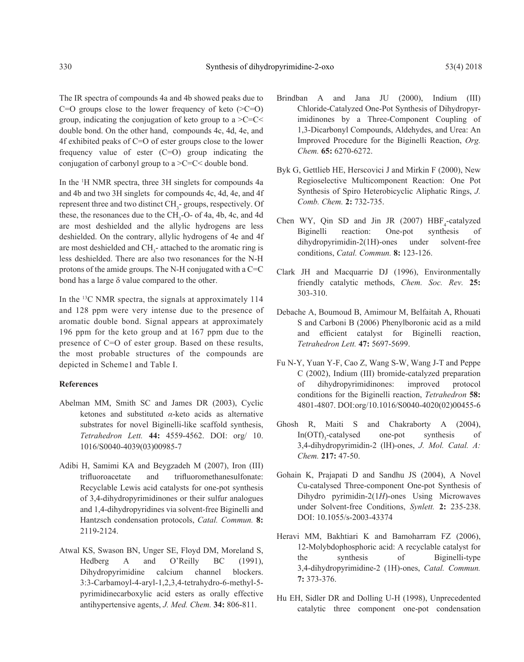The IR spectra of compounds 4a and 4b showed peaks due to  $C=O$  groups close to the lower frequency of keto  $(>=C=O)$ group, indicating the conjugation of keto group to a  $\geq C$  = C  $\lt$ double bond. On the other hand, compounds 4c, 4d, 4e, and 4f exhibited peaks of C=O of ester groups close to the lower frequency value of ester  $(C=O)$  group indicating the conjugation of carbonyl group to a >C=C< double bond.

In the 1 H NMR spectra, three 3H singlets for compounds 4a and 4b and two 3H singlets for compounds 4c, 4d, 4e, and 4f represent three and two distinct  $CH_3$ - groups, respectively. Of these, the resonances due to the  $CH<sub>3</sub>$ -O- of 4a, 4b, 4c, and 4d are most deshielded and the allylic hydrogens are less deshielded. On the contrary, allylic hydrogens of 4e and 4f are most deshielded and  $CH_3$ -attached to the aromatic ring is less deshielded. There are also two resonances for the N-H protons of the amide groups. The N-H conjugated with a C=C bond has a large δ value compared to the other.

In the 13C NMR spectra, the signals at approximately 114 and 128 ppm were very intense due to the presence of aromatic double bond. Signal appears at approximately 196 ppm for the keto group and at 167 ppm due to the presence of C=O of ester group. Based on these results, the most probable structures of the compounds are depicted in Scheme1 and Table I.

### **References**

- Abelman MM, Smith SC and James DR (2003), Cyclic ketones and substituted *α*-keto acids as alternative substrates for novel Biginelli-like scaffold synthesis, *Tetrahedron Lett.* **44:** 4559-4562. DOI: org/ 10. 1016/S0040-4039(03)00985-7
- Adibi H, Samimi KA and Beygzadeh M (2007), Iron (III) trifluoroacetate and trifluoromethanesulfonate: Recyclable Lewis acid catalysts for one-pot synthesis of 3,4-dihydropyrimidinones or their sulfur analogues and 1,4-dihydropyridines via solvent-free Biginelli and Hantzsch condensation protocols, *Catal. Commun.* **8:** 2119-2124.
- Atwal KS, Swason BN, Unger SE, Floyd DM, Moreland S, Hedberg A and O'Reilly BC (1991), Dihydropyrimidine calcium channel blockers. 3:3-Carbamoyl-4-aryl-1,2,3,4-tetrahydro-6-methyl-5 pyrimidinecarboxylic acid esters as orally effective antihypertensive agents, *J. Med. Chem.* **34:** 806-811.
- Brindban A and Jana JU (2000), Indium (III) Chloride-Catalyzed One-Pot Synthesis of Dihydropyrimidinones by a Three-Component Coupling of 1,3-Dicarbonyl Compounds, Aldehydes, and Urea: An Improved Procedure for the Biginelli Reaction, *Org. Chem.* **65:** 6270-6272.
- Byk G, Gettlieb HE, Herscovici J and Mirkin F (2000), New Regioselective Multicomponent Reaction: One Pot Synthesis of Spiro Heterobicyclic Aliphatic Rings, *J. Comb. Chem.* **2:** 732-735.
- Chen WY, Qin SD and Jin JR (2007)  $HBF<sub>4</sub>$ -catalyzed Biginelli reaction: One-pot synthesis of dihydropyrimidin-2(1H)-ones under solvent-free conditions, *Catal. Commun.* **8:** 123-126.
- Clark JH and Macquarrie DJ (1996), Environmentally friendly catalytic methods, *Chem. Soc. Rev.* **25:** 303-310.
- Debache A, Boumoud B, Amimour M, Belfaitah A, Rhouati S and Carboni B (2006) Phenylboronic acid as a mild and efficient catalyst for Biginelli reaction, *Tetrahedron Lett.* **47:** 5697-5699.
- Fu N-Y, Yuan Y-F, Cao Z, Wang S-W, Wang J-T and Peppe C (2002), Indium (III) bromide-catalyzed preparation of dihydropyrimidinones: improved protocol conditions for the Biginelli reaction, *Tetrahedron* **58:** 4801-4807. DOI:org/10.1016/S0040-4020(02)00455-6
- Ghosh R, Maiti S and Chakraborty A (2004), In(OTf)<sub>3</sub>-catalysed one-pot synthesis of 3,4-dihydropyrimidin-2 (lH)-ones, *J. Mol. Catal. A: Chem.* **217:** 47-50.
- Gohain K, Prajapati D and Sandhu JS (2004), A Novel Cu-catalysed Three-component One-pot Synthesis of Dihydro pyrimidin-2(1*H*)-ones Using Microwaves under Solvent-free Conditions, *Synlett.* **2:** 235-238. DOI: 10.1055/s-2003-43374
- Heravi MM, Bakhtiari K and Bamoharram FZ (2006), 12-Molybdophosphoric acid: A recyclable catalyst for the synthesis of Biginelli-type 3,4-dihydropyrimidine-2 (1H)-ones, *Catal. Commun.* **7:** 373-376.
- Hu EH, Sidler DR and Dolling U-H (1998), Unprecedented catalytic three component one-pot condensation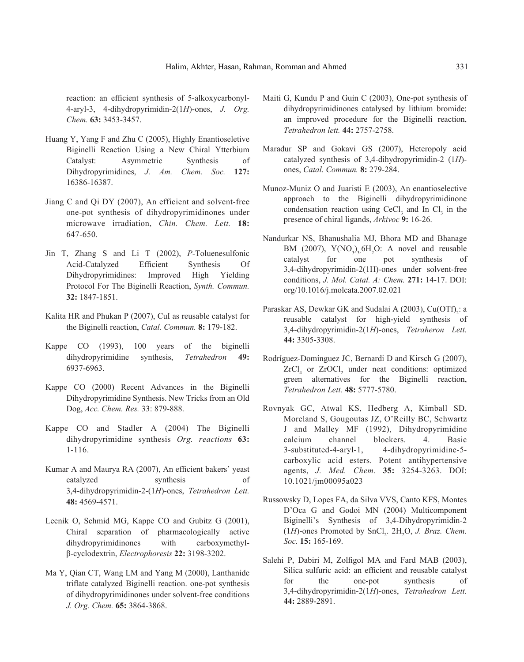reaction: an efficient synthesis of 5-alkoxycarbonyl-4-aryl-3, 4-dihydropyrimidin-2(1*H*)-ones, *J. Org. Chem.* **63:** 3453-3457.

- Huang Y, Yang F and Zhu C (2005), Highly Enantioseletive Biginelli Reaction Using a New Chiral Ytterbium Catalyst: Asymmetric Synthesis of Dihydropyrimidines, *J. Am. Chem. Soc.* **127:** 16386-16387.
- Jiang C and Qi DY (2007), An efficient and solvent-free one-pot synthesis of dihydropyrimidinones under microwave irradiation, *Chin. Chem. Lett.* **18:**  647-650.
- Jin T, Zhang S and Li T (2002), *P*-Toluenesulfonic Acid-Catalyzed Efficient Synthesis Of Dihydropyrimidines: Improved High Yielding Protocol For The Biginelli Reaction, *Synth. Commun.* **32:** 1847-1851.
- Kalita HR and Phukan P (2007), CuI as reusable catalyst for the Biginelli reaction, *Catal. Commun.* **8:** 179-182.
- Kappe CO (1993), 100 years of the biginelli dihydropyrimidine synthesis, *Tetrahedron* **49:** 6937-6963.
- Kappe CO (2000) Recent Advances in the Biginelli Dihydropyrimidine Synthesis. New Tricks from an Old Dog, *Acc. Chem. Res.* 33: 879-888.
- Kappe CO and Stadler A (2004) The Biginelli dihydropyrimidine synthesis *Org. reactions* **63:** 1-116.
- Kumar A and Maurya RA (2007), An efficient bakers' yeast catalyzed synthesis of 3,4-dihydropyrimidin-2-(1*H*)-ones, *Tetrahedron Lett.* **48:** 4569-4571.
- Lecnik O, Schmid MG, Kappe CO and Gubitz G (2001), Chiral separation of pharmacologically active dihydropyrimidinones with carboxymethylβ-cyclodextrin, *Electrophoresis* **22:** 3198-3202.
- Ma Y, Qian CT, Wang LM and Yang M (2000), Lanthanide triflate catalyzed Biginelli reaction. one-pot synthesis of dihydropyrimidinones under solvent-free conditions *J. Org. Chem.* **65:** 3864-3868.
- Maiti G, Kundu P and Guin C (2003), One-pot synthesis of dihydropyrimidinones catalysed by lithium bromide: an improved procedure for the Biginelli reaction, *Tetrahedron lett.* **44:** 2757-2758.
- Maradur SP and Gokavi GS (2007), Heteropoly acid catalyzed synthesis of 3,4-dihydropyrimidin-2 (1*H*) ones, *Catal. Commun.* **8:** 279-284.
- Munoz-Muniz O and Juaristi E (2003), An enantioselective approach to the Biginelli dihydropyrimidinone condensation reaction using  $CeCl<sub>3</sub>$  and In  $Cl<sub>3</sub>$  in the presence of chiral ligands, *Arkivoc* **9:** 16-26.
- Nandurkar NS, Bhanushalia MJ, Bhora MD and Bhanage BM (2007),  $Y(NO<sub>3</sub>)<sub>3</sub>$ .6H<sub>2</sub>O: A novel and reusable catalyst for one pot synthesis of 3,4-dihydropyrimidin-2(1H)-ones under solvent-free conditions, *J. Mol. Catal. A: Chem.* **271:** 14-17. DOI: org/10.1016/j.molcata.2007.02.021
- Paraskar AS, Dewkar GK and Sudalai A (2003),  $Cu(OTf)_{2}$ : a reusable catalyst for high-yield synthesis of 3,4-dihydropyrimidin-2(1*H*)-ones, *Tetraheron Lett.* **44:** 3305-3308.
- Rodríguez-Domínguez JC, Bernardi D and Kirsch G (2007),  $ZrCl<sub>4</sub>$  or  $ZrOCl<sub>2</sub>$  under neat conditions: optimized green alternatives for the Biginelli reaction, *Tetrahedron Lett.* **48:** 5777-5780.
- Rovnyak GC, Atwal KS, Hedberg A, Kimball SD, Moreland S, Gougoutas JZ, O'Reilly BC, Schwartz J and Malley MF (1992), Dihydropyrimidine calcium channel blockers. 4. Basic 3-substituted-4-aryl-1, 4-dihydropyrimidine-5 carboxylic acid esters. Potent antihypertensive agents, *J. Med. Chem.* **35:** 3254-3263. DOI: 10.1021/jm00095a023
- Russowsky D, Lopes FA, da Silva VVS, Canto KFS, Montes D'Oca G and Godoi MN (2004) Multicomponent Biginelli's Synthesis of 3,4-Dihydropyrimidin-2  $(1H)$ -ones Promoted by SnCl<sub>2</sub>.  $2H_2O$ , *J. Braz. Chem. Soc.* **15:** 165-169.
- Salehi P, Dabiri M, Zolfigol MA and Fard MAB (2003), Silica sulfuric acid: an efficient and reusable catalyst for the one-pot synthesis of 3,4-dihydropyrimidin-2(1*H*)-ones, *Tetrahedron Lett.* **44:** 2889-2891.